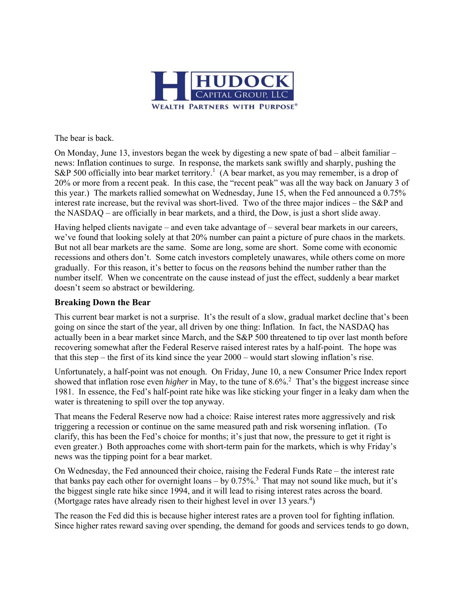

The bear is back.

On Monday, June 13, investors began the week by digesting a new spate of bad – albeit familiar – news: Inflation continues to surge. In response, the markets sank swiftly and sharply, pushing the S&P 500 officially into bear market territory.<sup>1</sup> (A bear market, as you may remember, is a drop of 20% or more from a recent peak. In this case, the "recent peak" was all the way back on January 3 of this year.) The markets rallied somewhat on Wednesday, June 15, when the Fed announced a 0.75% interest rate increase, but the revival was short-lived. Two of the three major indices – the S&P and the NASDAQ – are officially in bear markets, and a third, the Dow, is just a short slide away.

Having helped clients navigate – and even take advantage of – several bear markets in our careers, we've found that looking solely at that 20% number can paint a picture of pure chaos in the markets. But not all bear markets are the same. Some are long, some are short. Some come with economic recessions and others don't. Some catch investors completely unawares, while others come on more gradually. For this reason, it's better to focus on the *reasons* behind the number rather than the number itself. When we concentrate on the cause instead of just the effect, suddenly a bear market doesn't seem so abstract or bewildering.

## **Breaking Down the Bear**

This current bear market is not a surprise. It's the result of a slow, gradual market decline that's been going on since the start of the year, all driven by one thing: Inflation. In fact, the NASDAQ has actually been in a bear market since March, and the S&P 500 threatened to tip over last month before recovering somewhat after the Federal Reserve raised interest rates by a half-point. The hope was that this step – the first of its kind since the year 2000 – would start slowing inflation's rise.

Unfortunately, a half-point was not enough. On Friday, June 10, a new Consumer Price Index report showed that inflation rose even *higher* in May, to the tune of 8.6%.<sup>2</sup> That's the biggest increase since 1981. In essence, the Fed's half-point rate hike was like sticking your finger in a leaky dam when the water is threatening to spill over the top anyway.

That means the Federal Reserve now had a choice: Raise interest rates more aggressively and risk triggering a recession or continue on the same measured path and risk worsening inflation. (To clarify, this has been the Fed's choice for months; it's just that now, the pressure to get it right is even greater.) Both approaches come with short-term pain for the markets, which is why Friday's news was the tipping point for a bear market.

On Wednesday, the Fed announced their choice, raising the Federal Funds Rate – the interest rate that banks pay each other for overnight loans – by  $0.75\%$ <sup>3</sup>. That may not sound like much, but it's the biggest single rate hike since 1994, and it will lead to rising interest rates across the board. (Mortgage rates have already risen to their highest level in over 13 years.<sup>4</sup>)

The reason the Fed did this is because higher interest rates are a proven tool for fighting inflation. Since higher rates reward saving over spending, the demand for goods and services tends to go down,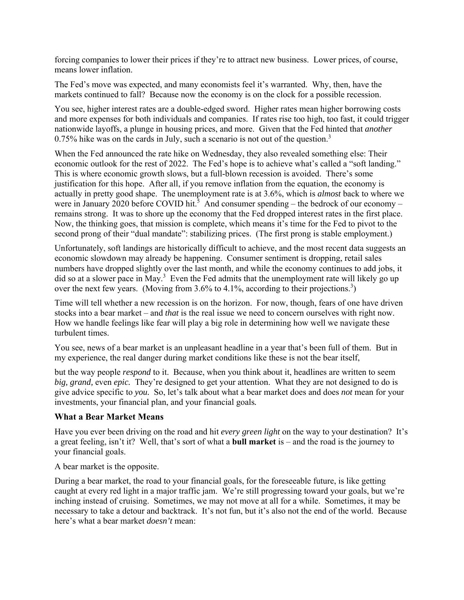forcing companies to lower their prices if they're to attract new business. Lower prices, of course, means lower inflation.

The Fed's move was expected, and many economists feel it's warranted. Why, then, have the markets continued to fall? Because now the economy is on the clock for a possible recession.

You see, higher interest rates are a double-edged sword. Higher rates mean higher borrowing costs and more expenses for both individuals and companies. If rates rise too high, too fast, it could trigger nationwide layoffs, a plunge in housing prices, and more. Given that the Fed hinted that *another*  0.75% hike was on the cards in July, such a scenario is not out of the question.<sup>3</sup>

When the Fed announced the rate hike on Wednesday, they also revealed something else: Their economic outlook for the rest of 2022. The Fed's hope is to achieve what's called a "soft landing." This is where economic growth slows, but a full-blown recession is avoided. There's some justification for this hope. After all, if you remove inflation from the equation, the economy is actually in pretty good shape. The unemployment rate is at 3.6%, which is *almost* back to where we were in January 2020 before COVID hit.<sup>3</sup> And consumer spending – the bedrock of our economy – remains strong. It was to shore up the economy that the Fed dropped interest rates in the first place. Now, the thinking goes, that mission is complete, which means it's time for the Fed to pivot to the second prong of their "dual mandate": stabilizing prices. (The first prong is stable employment.)

Unfortunately, soft landings are historically difficult to achieve, and the most recent data suggests an economic slowdown may already be happening. Consumer sentiment is dropping, retail sales numbers have dropped slightly over the last month, and while the economy continues to add jobs, it did so at a slower pace in May.<sup>3</sup> Even the Fed admits that the unemployment rate will likely go up over the next few years. (Moving from 3.6% to 4.1%, according to their projections.<sup>3</sup>)

Time will tell whether a new recession is on the horizon. For now, though, fears of one have driven stocks into a bear market – and *that* is the real issue we need to concern ourselves with right now. How we handle feelings like fear will play a big role in determining how well we navigate these turbulent times.

You see, news of a bear market is an unpleasant headline in a year that's been full of them. But in my experience, the real danger during market conditions like these is not the bear itself,

but the way people *respond* to it. Because, when you think about it, headlines are written to seem *big, grand,* even *epic.* They're designed to get your attention. What they are not designed to do is give advice specific to *you.* So, let's talk about what a bear market does and does *not* mean for your investments, your financial plan, and your financial goals*.*

## **What a Bear Market Means**

Have you ever been driving on the road and hit *every green light* on the way to your destination? It's a great feeling, isn't it? Well, that's sort of what a **bull market** is – and the road is the journey to your financial goals.

A bear market is the opposite.

During a bear market, the road to your financial goals, for the foreseeable future, is like getting caught at every red light in a major traffic jam. We're still progressing toward your goals, but we're inching instead of cruising. Sometimes, we may not move at all for a while. Sometimes, it may be necessary to take a detour and backtrack. It's not fun, but it's also not the end of the world. Because here's what a bear market *doesn't* mean: